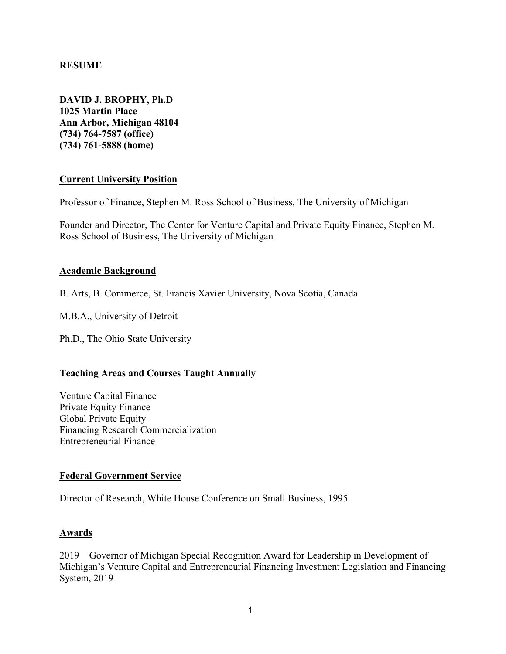### **RESUME**

**DAVID J. BROPHY, Ph.D 1025 Martin Place Ann Arbor, Michigan 48104 (734) 764-7587 (office) (734) 761-5888 (home)**

### **Current University Position**

Professor of Finance, Stephen M. Ross School of Business, The University of Michigan

Founder and Director, The Center for Venture Capital and Private Equity Finance, Stephen M. Ross School of Business, The University of Michigan

#### **Academic Background**

B. Arts, B. Commerce, St. Francis Xavier University, Nova Scotia, Canada

M.B.A., University of Detroit

Ph.D., The Ohio State University

### **Teaching Areas and Courses Taught Annually**

Venture Capital Finance Private Equity Finance Global Private Equity Financing Research Commercialization Entrepreneurial Finance

### **Federal Government Service**

Director of Research, White House Conference on Small Business, 1995

### **Awards**

2019 Governor of Michigan Special Recognition Award for Leadership in Development of Michigan's Venture Capital and Entrepreneurial Financing Investment Legislation and Financing System, 2019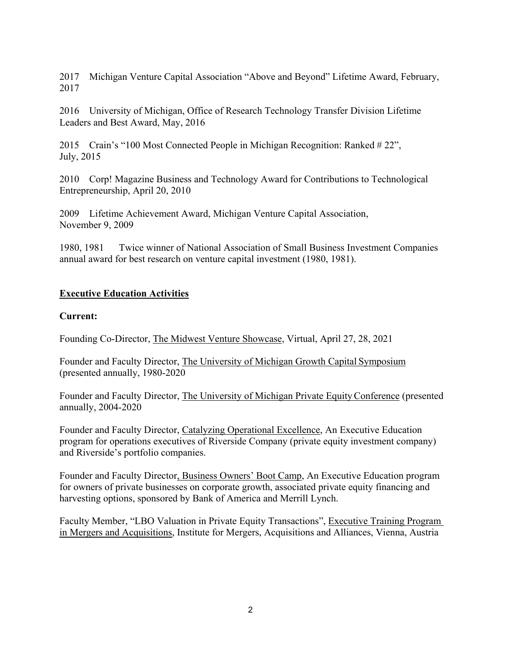2017 Michigan Venture Capital Association "Above and Beyond" Lifetime Award, February, 2017

2016 University of Michigan, Office of Research Technology Transfer Division Lifetime Leaders and Best Award, May, 2016

2015 Crain's "100 Most Connected People in Michigan Recognition: Ranked # 22", July, 2015

2010 Corp! Magazine Business and Technology Award for Contributions to Technological Entrepreneurship, April 20, 2010

2009 Lifetime Achievement Award, Michigan Venture Capital Association, November 9, 2009

1980, 1981 Twice winner of National Association of Small Business Investment Companies annual award for best research on venture capital investment (1980, 1981).

# **Executive Education Activities**

### **Current:**

Founding Co-Director, The Midwest Venture Showcase, Virtual, April 27, 28, 2021

Founder and Faculty Director, The University of Michigan Growth Capital Symposium (presented annually, 1980-2020

Founder and Faculty Director, The University of Michigan Private EquityConference (presented annually, 2004-2020

Founder and Faculty Director, Catalyzing Operational Excellence, An Executive Education program for operations executives of Riverside Company (private equity investment company) and Riverside's portfolio companies.

Founder and Faculty Director, Business Owners' Boot Camp, An Executive Education program for owners of private businesses on corporate growth, associated private equity financing and harvesting options, sponsored by Bank of America and Merrill Lynch.

Faculty Member, "LBO Valuation in Private Equity Transactions", Executive Training Program in Mergers and Acquisitions, Institute for Mergers, Acquisitions and Alliances, Vienna, Austria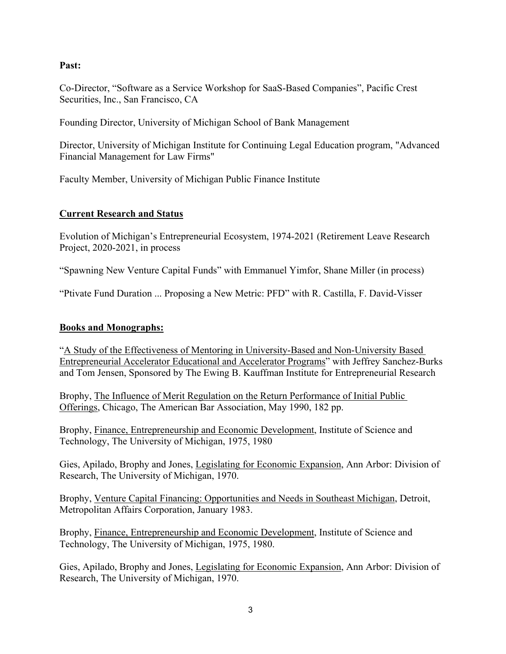### **Past:**

Co-Director, "Software as a Service Workshop for SaaS-Based Companies", Pacific Crest Securities, Inc., San Francisco, CA

Founding Director, University of Michigan School of Bank Management

Director, University of Michigan Institute for Continuing Legal Education program, "Advanced Financial Management for Law Firms"

Faculty Member, University of Michigan Public Finance Institute

### **Current Research and Status**

Evolution of Michigan's Entrepreneurial Ecosystem, 1974-2021 (Retirement Leave Research Project, 2020-2021, in process

"Spawning New Venture Capital Funds" with Emmanuel Yimfor, Shane Miller (in process)

"Ptivate Fund Duration ... Proposing a New Metric: PFD" with R. Castilla, F. David-Visser

### **Books and Monographs:**

"A Study of the Effectiveness of Mentoring in University-Based and Non-University Based Entrepreneurial Accelerator Educational and Accelerator Programs" with Jeffrey Sanchez-Burks and Tom Jensen, Sponsored by The Ewing B. Kauffman Institute for Entrepreneurial Research

Brophy, The Influence of Merit Regulation on the Return Performance of Initial Public Offerings, Chicago, The American Bar Association, May 1990, 182 pp.

Brophy, Finance, Entrepreneurship and Economic Development, Institute of Science and Technology, The University of Michigan, 1975, 1980

Gies, Apilado, Brophy and Jones, Legislating for Economic Expansion, Ann Arbor: Division of Research, The University of Michigan, 1970.

Brophy, Venture Capital Financing: Opportunities and Needs in Southeast Michigan, Detroit, Metropolitan Affairs Corporation, January 1983.

Brophy, Finance, Entrepreneurship and Economic Development, Institute of Science and Technology, The University of Michigan, 1975, 1980.

Gies, Apilado, Brophy and Jones, Legislating for Economic Expansion, Ann Arbor: Division of Research, The University of Michigan, 1970.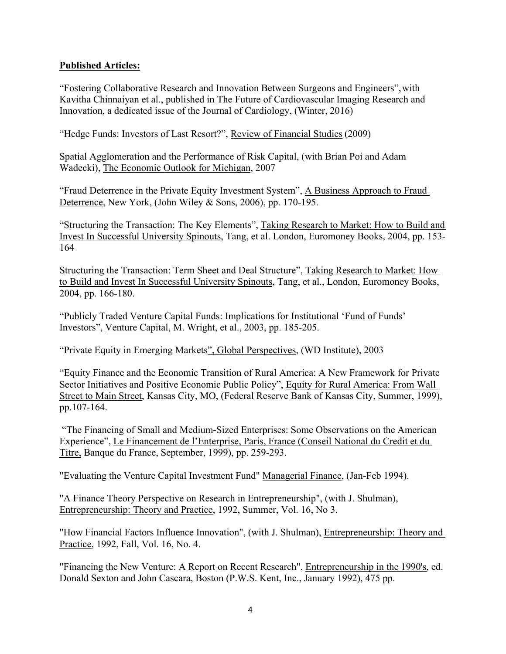### **Published Articles:**

"Fostering Collaborative Research and Innovation Between Surgeons and Engineers",with Kavitha Chinnaiyan et al., published in The Future of Cardiovascular Imaging Research and Innovation, a dedicated issue of the Journal of Cardiology, (Winter, 2016)

"Hedge Funds: Investors of Last Resort?", Review of Financial Studies (2009)

Spatial Agglomeration and the Performance of Risk Capital, (with Brian Poi and Adam Wadecki), The Economic Outlook for Michigan, 2007

"Fraud Deterrence in the Private Equity Investment System", A Business Approach to Fraud Deterrence, New York, (John Wiley & Sons, 2006), pp. 170-195.

"Structuring the Transaction: The Key Elements", Taking Research to Market: How to Build and Invest In Successful University Spinouts, Tang, et al. London, Euromoney Books, 2004, pp. 153- 164

Structuring the Transaction: Term Sheet and Deal Structure", Taking Research to Market: How to Build and Invest In Successful University Spinouts, Tang, et al., London, Euromoney Books, 2004, pp. 166-180.

"Publicly Traded Venture Capital Funds: Implications for Institutional 'Fund of Funds' Investors", Venture Capital, M. Wright, et al., 2003, pp. 185-205.

"Private Equity in Emerging Markets", Global Perspectives, (WD Institute), 2003

"Equity Finance and the Economic Transition of Rural America: A New Framework for Private Sector Initiatives and Positive Economic Public Policy", Equity for Rural America: From Wall Street to Main Street, Kansas City, MO, (Federal Reserve Bank of Kansas City, Summer, 1999), pp.107-164.

"The Financing of Small and Medium-Sized Enterprises: Some Observations on the American Experience", Le Financement de l'Enterprise, Paris, France (Conseil National du Credit et du Titre, Banque du France, September, 1999), pp. 259-293.

"Evaluating the Venture Capital Investment Fund" Managerial Finance, (Jan-Feb 1994).

"A Finance Theory Perspective on Research in Entrepreneurship", (with J. Shulman), Entrepreneurship: Theory and Practice, 1992, Summer, Vol. 16, No 3.

"How Financial Factors Influence Innovation", (with J. Shulman), Entrepreneurship: Theory and Practice, 1992, Fall, Vol. 16, No. 4.

"Financing the New Venture: A Report on Recent Research", Entrepreneurship in the 1990's, ed. Donald Sexton and John Cascara, Boston (P.W.S. Kent, Inc., January 1992), 475 pp.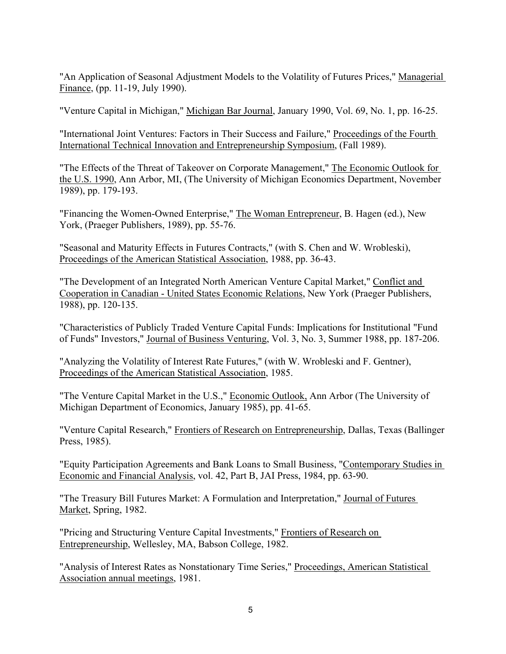"An Application of Seasonal Adjustment Models to the Volatility of Futures Prices," Managerial Finance, (pp. 11-19, July 1990).

"Venture Capital in Michigan," Michigan Bar Journal, January 1990, Vol. 69, No. 1, pp. 16-25.

"International Joint Ventures: Factors in Their Success and Failure," Proceedings of the Fourth International Technical Innovation and Entrepreneurship Symposium, (Fall 1989).

"The Effects of the Threat of Takeover on Corporate Management," The Economic Outlook for the U.S. 1990, Ann Arbor, MI, (The University of Michigan Economics Department, November 1989), pp. 179-193.

"Financing the Women-Owned Enterprise," The Woman Entrepreneur, B. Hagen (ed.), New York, (Praeger Publishers, 1989), pp. 55-76.

"Seasonal and Maturity Effects in Futures Contracts," (with S. Chen and W. Wrobleski), Proceedings of the American Statistical Association, 1988, pp. 36-43.

"The Development of an Integrated North American Venture Capital Market," Conflict and Cooperation in Canadian - United States Economic Relations, New York (Praeger Publishers, 1988), pp. 120-135.

"Characteristics of Publicly Traded Venture Capital Funds: Implications for Institutional "Fund of Funds" Investors," Journal of Business Venturing, Vol. 3, No. 3, Summer 1988, pp. 187-206.

"Analyzing the Volatility of Interest Rate Futures," (with W. Wrobleski and F. Gentner), Proceedings of the American Statistical Association, 1985.

"The Venture Capital Market in the U.S.," Economic Outlook, Ann Arbor (The University of Michigan Department of Economics, January 1985), pp. 41-65.

"Venture Capital Research," Frontiers of Research on Entrepreneurship, Dallas, Texas (Ballinger Press, 1985).

"Equity Participation Agreements and Bank Loans to Small Business, "Contemporary Studies in Economic and Financial Analysis, vol. 42, Part B, JAI Press, 1984, pp. 63-90.

"The Treasury Bill Futures Market: A Formulation and Interpretation," Journal of Futures Market, Spring, 1982.

"Pricing and Structuring Venture Capital Investments," Frontiers of Research on Entrepreneurship, Wellesley, MA, Babson College, 1982.

"Analysis of Interest Rates as Nonstationary Time Series," Proceedings, American Statistical Association annual meetings, 1981.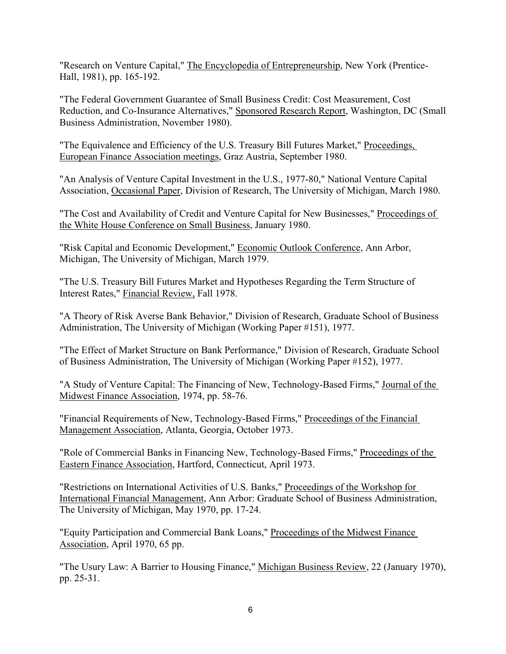"Research on Venture Capital," The Encyclopedia of Entrepreneurship, New York (Prentice-Hall, 1981), pp. 165-192.

"The Federal Government Guarantee of Small Business Credit: Cost Measurement, Cost Reduction, and Co-Insurance Alternatives," Sponsored Research Report, Washington, DC (Small Business Administration, November 1980).

"The Equivalence and Efficiency of the U.S. Treasury Bill Futures Market," Proceedings, European Finance Association meetings, Graz Austria, September 1980.

"An Analysis of Venture Capital Investment in the U.S., 1977-80," National Venture Capital Association, Occasional Paper, Division of Research, The University of Michigan, March 1980.

"The Cost and Availability of Credit and Venture Capital for New Businesses," Proceedings of the White House Conference on Small Business, January 1980.

"Risk Capital and Economic Development," Economic Outlook Conference, Ann Arbor, Michigan, The University of Michigan, March 1979.

"The U.S. Treasury Bill Futures Market and Hypotheses Regarding the Term Structure of Interest Rates," Financial Review, Fall 1978.

"A Theory of Risk Averse Bank Behavior," Division of Research, Graduate School of Business Administration, The University of Michigan (Working Paper #151), 1977.

"The Effect of Market Structure on Bank Performance," Division of Research, Graduate School of Business Administration, The University of Michigan (Working Paper #152), 1977.

"A Study of Venture Capital: The Financing of New, Technology-Based Firms," Journal of the Midwest Finance Association, 1974, pp. 58-76.

"Financial Requirements of New, Technology-Based Firms," Proceedings of the Financial Management Association, Atlanta, Georgia, October 1973.

"Role of Commercial Banks in Financing New, Technology-Based Firms," Proceedings of the Eastern Finance Association, Hartford, Connecticut, April 1973.

"Restrictions on International Activities of U.S. Banks," Proceedings of the Workshop for International Financial Management, Ann Arbor: Graduate School of Business Administration, The University of Michigan, May 1970, pp. 17-24.

"Equity Participation and Commercial Bank Loans," Proceedings of the Midwest Finance Association, April 1970, 65 pp.

"The Usury Law: A Barrier to Housing Finance," Michigan Business Review, 22 (January 1970), pp. 25-31.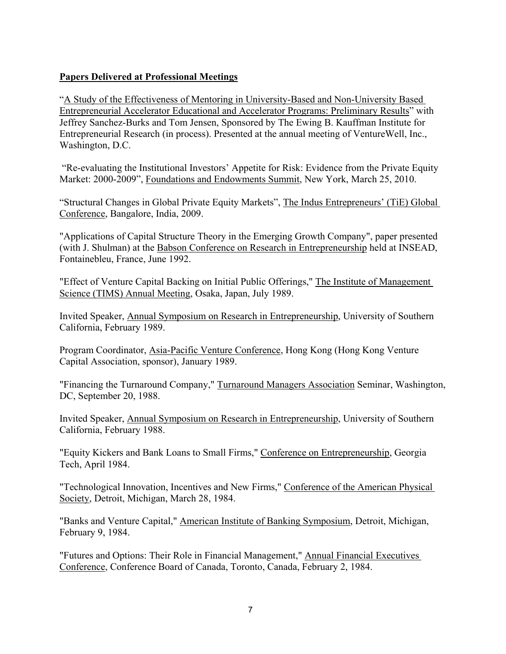## **Papers Delivered at Professional Meetings**

"A Study of the Effectiveness of Mentoring in University-Based and Non-University Based Entrepreneurial Accelerator Educational and Accelerator Programs: Preliminary Results" with Jeffrey Sanchez-Burks and Tom Jensen, Sponsored by The Ewing B. Kauffman Institute for Entrepreneurial Research (in process). Presented at the annual meeting of VentureWell, Inc., Washington, D.C.

"Re-evaluating the Institutional Investors' Appetite for Risk: Evidence from the Private Equity Market: 2000-2009", Foundations and Endowments Summit, New York, March 25, 2010.

"Structural Changes in Global Private Equity Markets", The Indus Entrepreneurs' (TiE) Global Conference, Bangalore, India, 2009.

"Applications of Capital Structure Theory in the Emerging Growth Company", paper presented (with J. Shulman) at the Babson Conference on Research in Entrepreneurship held at INSEAD, Fontainebleu, France, June 1992.

"Effect of Venture Capital Backing on Initial Public Offerings," The Institute of Management Science (TIMS) Annual Meeting, Osaka, Japan, July 1989.

Invited Speaker, Annual Symposium on Research in Entrepreneurship, University of Southern California, February 1989.

Program Coordinator, Asia-Pacific Venture Conference, Hong Kong (Hong Kong Venture Capital Association, sponsor), January 1989.

"Financing the Turnaround Company," Turnaround Managers Association Seminar, Washington, DC, September 20, 1988.

Invited Speaker, Annual Symposium on Research in Entrepreneurship, University of Southern California, February 1988.

"Equity Kickers and Bank Loans to Small Firms," Conference on Entrepreneurship, Georgia Tech, April 1984.

"Technological Innovation, Incentives and New Firms," Conference of the American Physical Society, Detroit, Michigan, March 28, 1984.

"Banks and Venture Capital," American Institute of Banking Symposium, Detroit, Michigan, February 9, 1984.

"Futures and Options: Their Role in Financial Management," Annual Financial Executives Conference, Conference Board of Canada, Toronto, Canada, February 2, 1984.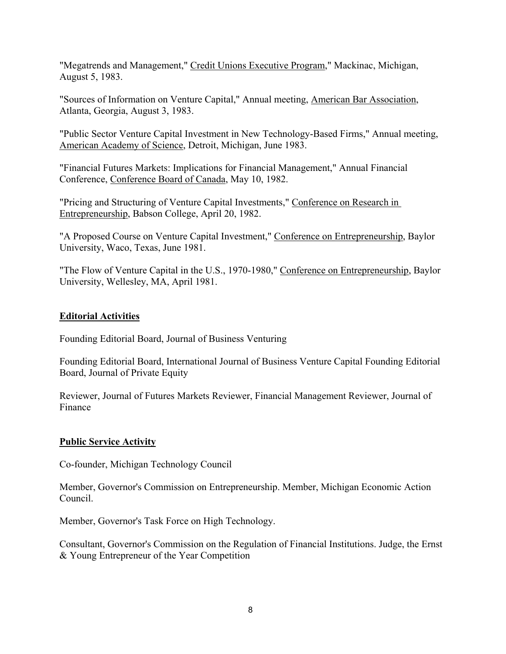"Megatrends and Management," Credit Unions Executive Program," Mackinac, Michigan, August 5, 1983.

"Sources of Information on Venture Capital," Annual meeting, American Bar Association, Atlanta, Georgia, August 3, 1983.

"Public Sector Venture Capital Investment in New Technology-Based Firms," Annual meeting, American Academy of Science, Detroit, Michigan, June 1983.

"Financial Futures Markets: Implications for Financial Management," Annual Financial Conference, Conference Board of Canada, May 10, 1982.

"Pricing and Structuring of Venture Capital Investments," Conference on Research in Entrepreneurship, Babson College, April 20, 1982.

"A Proposed Course on Venture Capital Investment," Conference on Entrepreneurship, Baylor University, Waco, Texas, June 1981.

"The Flow of Venture Capital in the U.S., 1970-1980," Conference on Entrepreneurship, Baylor University, Wellesley, MA, April 1981.

# **Editorial Activities**

Founding Editorial Board, Journal of Business Venturing

Founding Editorial Board, International Journal of Business Venture Capital Founding Editorial Board, Journal of Private Equity

Reviewer, Journal of Futures Markets Reviewer, Financial Management Reviewer, Journal of Finance

### **Public Service Activity**

Co-founder, Michigan Technology Council

Member, Governor's Commission on Entrepreneurship. Member, Michigan Economic Action Council.

Member, Governor's Task Force on High Technology.

Consultant, Governor's Commission on the Regulation of Financial Institutions. Judge, the Ernst & Young Entrepreneur of the Year Competition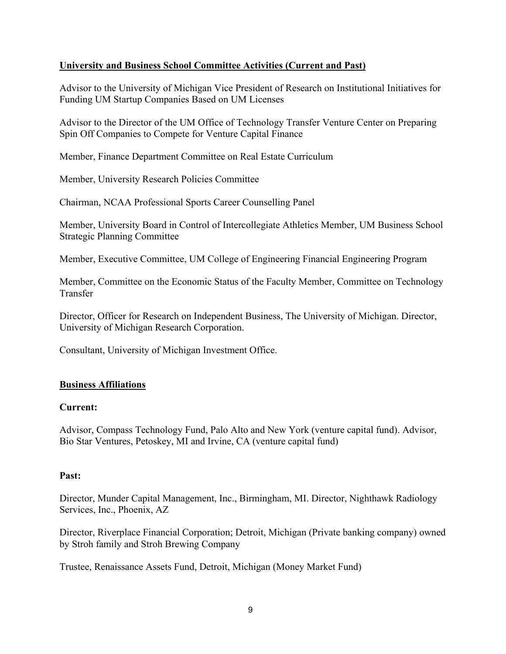### **University and Business School Committee Activities (Current and Past)**

Advisor to the University of Michigan Vice President of Research on Institutional Initiatives for Funding UM Startup Companies Based on UM Licenses

Advisor to the Director of the UM Office of Technology Transfer Venture Center on Preparing Spin Off Companies to Compete for Venture Capital Finance

Member, Finance Department Committee on Real Estate Curriculum

Member, University Research Policies Committee

Chairman, NCAA Professional Sports Career Counselling Panel

Member, University Board in Control of Intercollegiate Athletics Member, UM Business School Strategic Planning Committee

Member, Executive Committee, UM College of Engineering Financial Engineering Program

Member, Committee on the Economic Status of the Faculty Member, Committee on Technology Transfer

Director, Officer for Research on Independent Business, The University of Michigan. Director, University of Michigan Research Corporation.

Consultant, University of Michigan Investment Office.

### **Business Affiliations**

### **Current:**

Advisor, Compass Technology Fund, Palo Alto and New York (venture capital fund). Advisor, Bio Star Ventures, Petoskey, MI and Irvine, CA (venture capital fund)

### **Past:**

Director, Munder Capital Management, Inc., Birmingham, MI. Director, Nighthawk Radiology Services, Inc., Phoenix, AZ

Director, Riverplace Financial Corporation; Detroit, Michigan (Private banking company) owned by Stroh family and Stroh Brewing Company

Trustee, Renaissance Assets Fund, Detroit, Michigan (Money Market Fund)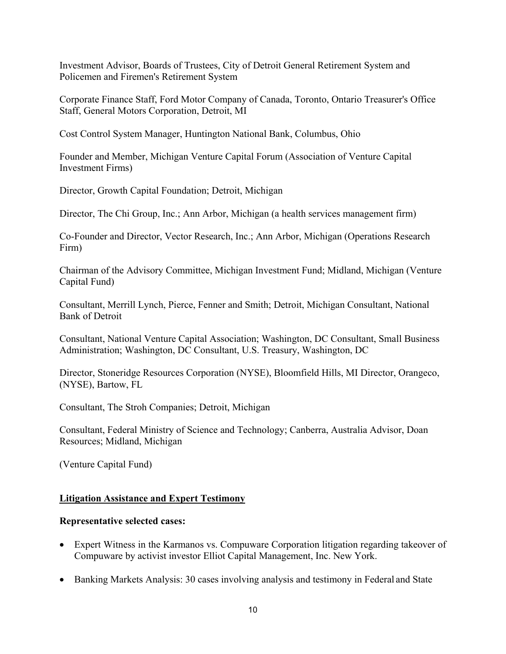Investment Advisor, Boards of Trustees, City of Detroit General Retirement System and Policemen and Firemen's Retirement System

Corporate Finance Staff, Ford Motor Company of Canada, Toronto, Ontario Treasurer's Office Staff, General Motors Corporation, Detroit, MI

Cost Control System Manager, Huntington National Bank, Columbus, Ohio

Founder and Member, Michigan Venture Capital Forum (Association of Venture Capital Investment Firms)

Director, Growth Capital Foundation; Detroit, Michigan

Director, The Chi Group, Inc.; Ann Arbor, Michigan (a health services management firm)

Co-Founder and Director, Vector Research, Inc.; Ann Arbor, Michigan (Operations Research Firm)

Chairman of the Advisory Committee, Michigan Investment Fund; Midland, Michigan (Venture Capital Fund)

Consultant, Merrill Lynch, Pierce, Fenner and Smith; Detroit, Michigan Consultant, National Bank of Detroit

Consultant, National Venture Capital Association; Washington, DC Consultant, Small Business Administration; Washington, DC Consultant, U.S. Treasury, Washington, DC

Director, Stoneridge Resources Corporation (NYSE), Bloomfield Hills, MI Director, Orangeco, (NYSE), Bartow, FL

Consultant, The Stroh Companies; Detroit, Michigan

Consultant, Federal Ministry of Science and Technology; Canberra, Australia Advisor, Doan Resources; Midland, Michigan

(Venture Capital Fund)

### **Litigation Assistance and Expert Testimony**

### **Representative selected cases:**

- Expert Witness in the Karmanos vs. Compuware Corporation litigation regarding takeover of Compuware by activist investor Elliot Capital Management, Inc. New York.
- Banking Markets Analysis: 30 cases involving analysis and testimony in Federal and State